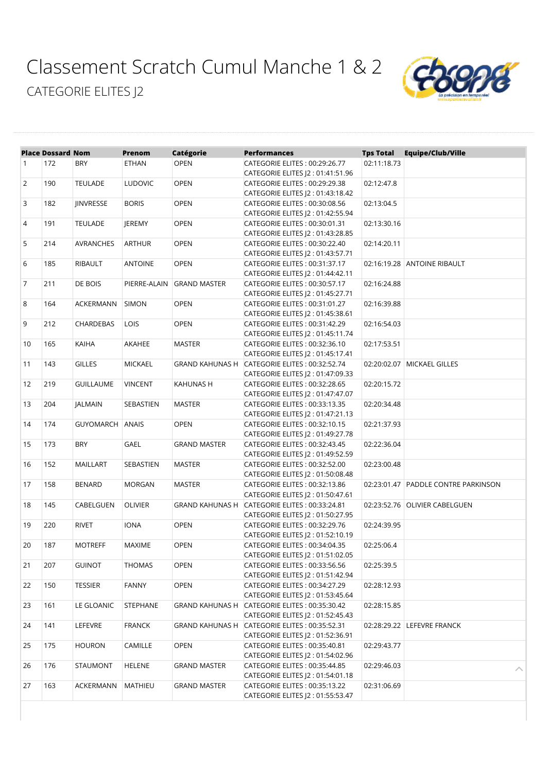## [Classement Scratch Cumul Manche 1 & 2](https://www.sportinnovation.fr/suivi_track_t/classement_print_light.php?crs=5204&categorie=PDT_CF&tag=&nom_equipe=&nb_constituant=®ion=#) [CATEGORIE ELITES J2](https://www.sportinnovation.fr/suivi_track_t/classement_print_light.php?crs=5204&categorie=PDT_CF&tag=&nom_equipe=&nb_constituant=®ion=#)



|                | <b>Place Dossard Nom</b> |                  | <b>Prenom</b>  | <b>Catégorie</b>       | <b>Performances</b>                                              | <b>Tps Total</b> | <b>Equipe/Club/Ville</b>            |
|----------------|--------------------------|------------------|----------------|------------------------|------------------------------------------------------------------|------------------|-------------------------------------|
| $\mathbf{1}$   | 172                      | BRY              | <b>ETHAN</b>   | <b>OPEN</b>            | CATEGORIE ELITES: 00:29:26.77                                    | 02:11:18.73      |                                     |
|                |                          |                  |                |                        | CATEGORIE ELITES  2:01:41:51.96                                  |                  |                                     |
| $\overline{2}$ | 190                      | <b>TEULADE</b>   | <b>LUDOVIC</b> | <b>OPEN</b>            | CATEGORIE ELITES: 00:29:29.38                                    | 02:12:47.8       |                                     |
|                |                          |                  |                |                        | CATEGORIE ELITES  2:01:43:18.42                                  |                  |                                     |
| 3              | 182                      | <b>JINVRESSE</b> | <b>BORIS</b>   | <b>OPEN</b>            | CATEGORIE ELITES: 00:30:08.56                                    | 02:13:04.5       |                                     |
|                |                          |                  |                |                        | CATEGORIE ELITES  2:01:42:55.94                                  |                  |                                     |
| 4              | 191                      | <b>TEULADE</b>   | <b>JEREMY</b>  | <b>OPEN</b>            | CATEGORIE ELITES: 00:30:01.31                                    | 02:13:30.16      |                                     |
|                |                          |                  |                |                        | CATEGORIE ELITES J2: 01:43:28.85                                 |                  |                                     |
| 5              | 214                      | <b>AVRANCHES</b> | <b>ARTHUR</b>  | <b>OPEN</b>            | CATEGORIE ELITES: 00:30:22.40                                    | 02:14:20.11      |                                     |
|                |                          |                  |                |                        | CATEGORIE ELITES J2: 01:43:57.71                                 |                  |                                     |
| 6              | 185                      | RIBAULT          | <b>ANTOINE</b> | OPEN                   | CATEGORIE ELITES: 00:31:37.17                                    |                  | 02:16:19.28 ANTOINE RIBAULT         |
|                |                          |                  |                |                        | CATEGORIE ELITES  2:01:44:42.11                                  |                  |                                     |
| 7              | 211                      | DE BOIS          | PIERRE-ALAIN   | <b>GRAND MASTER</b>    | CATEGORIE ELITES: 00:30:57.17                                    | 02:16:24.88      |                                     |
|                |                          |                  |                |                        | CATEGORIE ELITES J2: 01:45:27.71                                 |                  |                                     |
| 8              | 164                      | ACKERMANN        | SIMON          | <b>OPEN</b>            | CATEGORIE ELITES: 00:31:01.27                                    | 02:16:39.88      |                                     |
|                |                          |                  |                |                        | CATEGORIE ELITES J2: 01:45:38.61                                 |                  |                                     |
| 9              | 212                      | <b>CHARDEBAS</b> | LOIS           | <b>OPEN</b>            | CATEGORIE ELITES: 00:31:42.29                                    | 02:16:54.03      |                                     |
|                |                          |                  |                |                        | CATEGORIE ELITES J2: 01:45:11.74                                 |                  |                                     |
| 10             | 165                      | <b>KAIHA</b>     | AKAHEE         | <b>MASTER</b>          | CATEGORIE ELITES: 00:32:36.10                                    | 02:17:53.51      |                                     |
|                |                          |                  |                |                        | CATEGORIE ELITES J2: 01:45:17.41                                 |                  |                                     |
| 11             | 143                      | <b>GILLES</b>    | <b>MICKAEL</b> |                        | GRAND KAHUNAS H CATEGORIE ELITES: 00:32:52.74                    |                  | 02:20:02.07   MICKAEL GILLES        |
|                |                          |                  |                |                        | CATEGORIE ELITES  2:01:47:09.33                                  |                  |                                     |
| 12             | 219                      | <b>GUILLAUME</b> | <b>VINCENT</b> | KAHUNAS H              | CATEGORIE ELITES: 00:32:28.65                                    | 02:20:15.72      |                                     |
|                |                          |                  |                |                        | CATEGORIE ELITES  2:01:47:47.07                                  |                  |                                     |
| 13             | 204                      | <b>JALMAIN</b>   | SEBASTIEN      | <b>MASTER</b>          | CATEGORIE ELITES: 00:33:13.35                                    | 02:20:34.48      |                                     |
|                |                          |                  |                |                        | CATEGORIE ELITES  2:01:47:21.13                                  |                  |                                     |
| 14             | 174                      | GUYOMARCH ANAIS  |                | <b>OPEN</b>            | CATEGORIE ELITES: 00:32:10.15                                    | 02:21:37.93      |                                     |
|                | 173                      | <b>BRY</b>       |                |                        | CATEGORIE ELITES  2:01:49:27.78<br>CATEGORIE ELITES: 00:32:43.45 |                  |                                     |
| 15             |                          |                  | <b>GAEL</b>    | <b>GRAND MASTER</b>    | CATEGORIE ELITES  2:01:49:52.59                                  | 02:22:36.04      |                                     |
| 16             | 152                      | MAILLART         | SEBASTIEN      | <b>MASTER</b>          | CATEGORIE ELITES: 00:32:52.00                                    | 02:23:00.48      |                                     |
|                |                          |                  |                |                        | CATEGORIE ELITES  2 : 01:50:08.48                                |                  |                                     |
| 17             | 158                      | <b>BENARD</b>    | <b>MORGAN</b>  | <b>MASTER</b>          | CATEGORIE ELITES: 00:32:13.86                                    |                  | 02:23:01.47 PADDLE CONTRE PARKINSON |
|                |                          |                  |                |                        | CATEGORIE ELITES J2: 01:50:47.61                                 |                  |                                     |
| 18             | 145                      | CABELGUEN        | <b>OLIVIER</b> | <b>GRAND KAHUNAS H</b> | CATEGORIE ELITES: 00:33:24.81                                    |                  | 02:23:52.76 OLIVIER CABELGUEN       |
|                |                          |                  |                |                        | CATEGORIE ELITES  2:01:50:27.95                                  |                  |                                     |
| 19             | 220                      | <b>RIVET</b>     | <b>IONA</b>    | OPEN                   | CATEGORIE ELITES: 00:32:29.76                                    | 02:24:39.95      |                                     |
|                |                          |                  |                |                        | CATEGORIE ELITES J2: 01:52:10.19                                 |                  |                                     |
| 20             | 187                      | <b>MOTREFF</b>   | <b>MAXIME</b>  | <b>OPEN</b>            | CATEGORIE ELITES: 00:34:04.35                                    | 02:25:06.4       |                                     |
|                |                          |                  |                |                        | CATEGORIE ELITES J2: 01:51:02.05                                 |                  |                                     |
| 21             | 207                      | <b>GUINOT</b>    | THOMAS         | <b>OPEN</b>            | CATEGORIE ELITES: 00:33:56.56                                    | 02:25:39.5       |                                     |
|                |                          |                  |                |                        | CATEGORIE ELITES  2:01:51:42.94                                  |                  |                                     |
| 22             | 150                      | <b>TESSIER</b>   | <b>FANNY</b>   | <b>OPEN</b>            | CATEGORIE ELITES: 00:34:27.29                                    | 02:28:12.93      |                                     |
|                |                          |                  |                |                        | CATEGORIE ELITES J2: 01:53:45.64                                 |                  |                                     |
| 23             | 161                      | LE GLOANIC       | STEPHANE       |                        | GRAND KAHUNAS H CATEGORIE ELITES: 00:35:30.42                    | 02:28:15.85      |                                     |
|                |                          |                  |                |                        | CATEGORIE ELITES  2:01:52:45.43                                  |                  |                                     |
| 24             | 141                      | LEFEVRE          | <b>FRANCK</b>  | <b>GRAND KAHUNAS H</b> | CATEGORIE ELITES: 00:35:52.31                                    |                  | 02:28:29.22 LEFEVRE FRANCK          |
|                |                          |                  |                |                        | CATEGORIE ELITES J2: 01:52:36.91                                 |                  |                                     |
| 25             | 175                      | <b>HOURON</b>    | CAMILLE        | <b>OPEN</b>            | CATEGORIE ELITES: 00:35:40.81                                    | 02:29:43.77      |                                     |
|                |                          |                  |                |                        | CATEGORIE ELITES J2: 01:54:02.96                                 |                  |                                     |
| 26             | 176                      | <b>STAUMONT</b>  | <b>HELENE</b>  | <b>GRAND MASTER</b>    | CATEGORIE ELITES: 00:35:44.85                                    | 02:29:46.03      |                                     |
|                |                          |                  |                |                        | CATEGORIE ELITES J2: 01:54:01.18                                 |                  |                                     |
| 27             | 163                      | ACKERMANN        | MATHIEU        | <b>GRAND MASTER</b>    | CATEGORIE ELITES: 00:35:13.22                                    | 02:31:06.69      |                                     |
|                |                          |                  |                |                        | CATEGORIE ELITES J2: 01:55:53.47                                 |                  |                                     |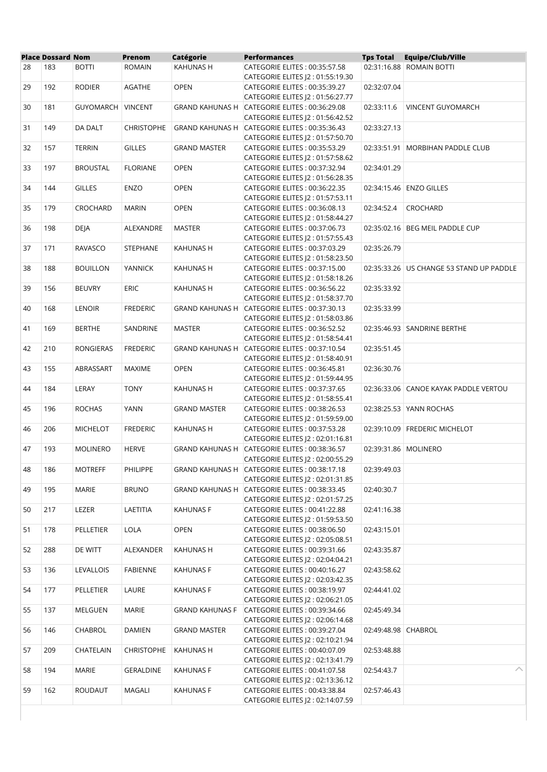|    | <b>Place Dossard Nom</b> |                  | Prenom            | Catégorie              | <b>Performances</b>                                                               | <b>Tps Total</b>     | <b>Equipe/Club/Ville</b>                 |
|----|--------------------------|------------------|-------------------|------------------------|-----------------------------------------------------------------------------------|----------------------|------------------------------------------|
| 28 | 183                      | <b>BOTTI</b>     | <b>ROMAIN</b>     | KAHUNAS H              | CATEGORIE ELITES: 00:35:57.58<br>CATEGORIE ELITES J2: 01:55:19.30                 |                      | 02:31:16.88 ROMAIN BOTTI                 |
| 29 | 192                      | <b>RODIER</b>    | <b>AGATHE</b>     | <b>OPEN</b>            | CATEGORIE ELITES: 00:35:39.27<br>CATEGORIE ELITES  2:01:56:27.77                  | 02:32:07.04          |                                          |
| 30 | 181                      | GUYOMARCH        | <b>VINCENT</b>    |                        | GRAND KAHUNAS H CATEGORIE ELITES: 00:36:29.08<br>CATEGORIE ELITES J2: 01:56:42.52 | 02:33:11.6           | VINCENT GUYOMARCH                        |
| 31 | 149                      | DA DALT          | <b>CHRISTOPHE</b> |                        | GRAND KAHUNAS H CATEGORIE ELITES: 00:35:36.43<br>CATEGORIE ELITES J2: 01:57:50.70 | 02:33:27.13          |                                          |
| 32 | 157                      | <b>TERRIN</b>    | <b>GILLES</b>     | <b>GRAND MASTER</b>    | CATEGORIE ELITES: 00:35:53.29<br>CATEGORIE ELITES  2:01:57:58.62                  | 02:33:51.91          | MORBIHAN PADDLE CLUB                     |
| 33 | 197                      | <b>BROUSTAL</b>  | <b>FLORIANE</b>   | <b>OPEN</b>            | CATEGORIE ELITES: 00:37:32.94<br>CATEGORIE ELITES J2: 01:56:28.35                 | 02:34:01.29          |                                          |
| 34 | 144                      | <b>GILLES</b>    | ENZO              | OPEN                   | CATEGORIE ELITES: 00:36:22.35<br>CATEGORIE ELITES J2: 01:57:53.11                 |                      | 02:34:15.46   ENZO GILLES                |
| 35 | 179                      | CROCHARD         | <b>MARIN</b>      | <b>OPEN</b>            | CATEGORIE ELITES: 00:36:08.13<br>CATEGORIE ELITES J2: 01:58:44.27                 | 02:34:52.4           | CROCHARD                                 |
| 36 | 198                      | <b>DEJA</b>      | ALEXANDRE         | <b>MASTER</b>          | CATEGORIE ELITES: 00:37:06.73<br>CATEGORIE ELITES J2: 01:57:55.43                 |                      | 02:35:02.16 BEG MEIL PADDLE CUP          |
| 37 | 171                      | RAVASCO          | <b>STEPHANE</b>   | KAHUNAS H              | CATEGORIE ELITES: 00:37:03.29<br>CATEGORIE ELITES J2: 01:58:23.50                 | 02:35:26.79          |                                          |
| 38 | 188                      | <b>BOUILLON</b>  | <b>YANNICK</b>    | KAHUNAS H              | CATEGORIE ELITES: 00:37:15.00<br>CATEGORIE ELITES J2: 01:58:18.26                 |                      | 02:35:33.26 US CHANGE 53 STAND UP PADDLE |
| 39 | 156                      | <b>BEUVRY</b>    | ERIC              | KAHUNAS H              | CATEGORIE ELITES: 00:36:56.22<br>CATEGORIE ELITES J2: 01:58:37.70                 | 02:35:33.92          |                                          |
| 40 | 168                      | <b>LENOIR</b>    | <b>FREDERIC</b>   |                        | GRAND KAHUNAS H CATEGORIE ELITES: 00:37:30.13<br>CATEGORIE ELITES J2: 01:58:03.86 | 02:35:33.99          |                                          |
| 41 | 169                      | <b>BERTHE</b>    | SANDRINE          | <b>MASTER</b>          | CATEGORIE ELITES: 00:36:52.52<br>CATEGORIE ELITES J2: 01:58:54.41                 |                      | 02:35:46.93 SANDRINE BERTHE              |
| 42 | 210                      | <b>RONGIERAS</b> | <b>FREDERIC</b>   |                        | GRAND KAHUNAS H CATEGORIE ELITES: 00:37:10.54<br>CATEGORIE ELITES J2: 01:58:40.91 | 02:35:51.45          |                                          |
| 43 | 155                      | ABRASSART        | <b>MAXIME</b>     | <b>OPEN</b>            | CATEGORIE ELITES: 00:36:45.81<br>CATEGORIE ELITES J2: 01:59:44.95                 | 02:36:30.76          |                                          |
| 44 | 184                      | LERAY            | <b>TONY</b>       | KAHUNAS H              | CATEGORIE ELITES: 00:37:37.65<br>CATEGORIE ELITES J2: 01:58:55.41                 |                      | 02:36:33.06 CANOE KAYAK PADDLE VERTOU    |
| 45 | 196                      | <b>ROCHAS</b>    | <b>YANN</b>       | <b>GRAND MASTER</b>    | CATEGORIE ELITES: 00:38:26.53<br>CATEGORIE ELITES J2: 01:59:59.00                 |                      | 02:38:25.53 YANN ROCHAS                  |
| 46 | 206                      | <b>MICHELOT</b>  | <b>FREDERIC</b>   | KAHUNAS H              | CATEGORIE ELITES: 00:37:53.28<br>CATEGORIE ELITES J2: 02:01:16.81                 |                      | 02:39:10.09 FREDERIC MICHELOT            |
| 47 | 193                      | <b>MOLINERO</b>  | <b>HERVE</b>      | <b>GRAND KAHUNAS H</b> | CATEGORIE ELITES: 00:38:36.57<br>CATEGORIE ELITES J2:02:00:55.29                  | 02:39:31.86 MOLINERO |                                          |
| 48 | 186                      | <b>MOTREFF</b>   | PHILIPPE          |                        | GRAND KAHUNAS H CATEGORIE ELITES: 00:38:17.18<br>CATEGORIE ELITES  2:02:01:31.85  | 02:39:49.03          |                                          |
| 49 | 195                      | MARIE            | <b>BRUNO</b>      |                        | GRAND KAHUNAS H CATEGORIE ELITES: 00:38:33.45<br>CATEGORIE ELITES J2: 02:01:57.25 | 02:40:30.7           |                                          |
| 50 | 217                      | LEZER            | LAETITIA          | KAHUNAS F              | CATEGORIE ELITES: 00:41:22.88<br>CATEGORIE ELITES J2: 01:59:53.50                 | 02:41:16.38          |                                          |
| 51 | 178                      | PELLETIER        | LOLA              | <b>OPEN</b>            | CATEGORIE ELITES: 00:38:06.50<br>CATEGORIE ELITES J2: 02:05:08.51                 | 02:43:15.01          |                                          |
| 52 | 288                      | DE WITT          | ALEXANDER         | KAHUNAS H              | CATEGORIE ELITES: 00:39:31.66<br>CATEGORIE ELITES  2:02:04:04.21                  | 02:43:35.87          |                                          |
| 53 | 136                      | LEVALLOIS        | FABIENNE          | KAHUNAS F              | CATEGORIE ELITES: 00:40:16.27<br>CATEGORIE ELITES J2:02:03:42.35                  | 02:43:58.62          |                                          |
| 54 | 177                      | PELLETIER        | LAURE             | <b>KAHUNAS F</b>       | CATEGORIE ELITES: 00:38:19.97<br>CATEGORIE ELITES J2: 02:06:21.05                 | 02:44:41.02          |                                          |
| 55 | 137                      | MELGUEN          | MARIE             | <b>GRAND KAHUNAS F</b> | CATEGORIE ELITES: 00:39:34.66<br>CATEGORIE ELITES J2: 02:06:14.68                 | 02:45:49.34          |                                          |
| 56 | 146                      | CHABROL          | <b>DAMIEN</b>     | <b>GRAND MASTER</b>    | CATEGORIE ELITES: 00:39:27.04<br>CATEGORIE ELITES J2: 02:10:21.94                 | 02:49:48.98 CHABROL  |                                          |
| 57 | 209                      | CHATELAIN        | <b>CHRISTOPHE</b> | KAHUNAS H              | CATEGORIE ELITES: 00:40:07.09<br>CATEGORIE ELITES J2 : 02:13:41.79                | 02:53:48.88          |                                          |
| 58 | 194                      | MARIE            | GERALDINE         | <b>KAHUNAS F</b>       | CATEGORIE ELITES: 00:41:07.58<br>CATEGORIE ELITES J2: 02:13:36.12                 | 02:54:43.7           | ᄉ                                        |
| 59 | 162                      | ROUDAUT          | MAGALI            | <b>KAHUNAS F</b>       | CATEGORIE ELITES: 00:43:38.84<br>CATEGORIE ELITES J2: 02:14:07.59                 | 02:57:46.43          |                                          |